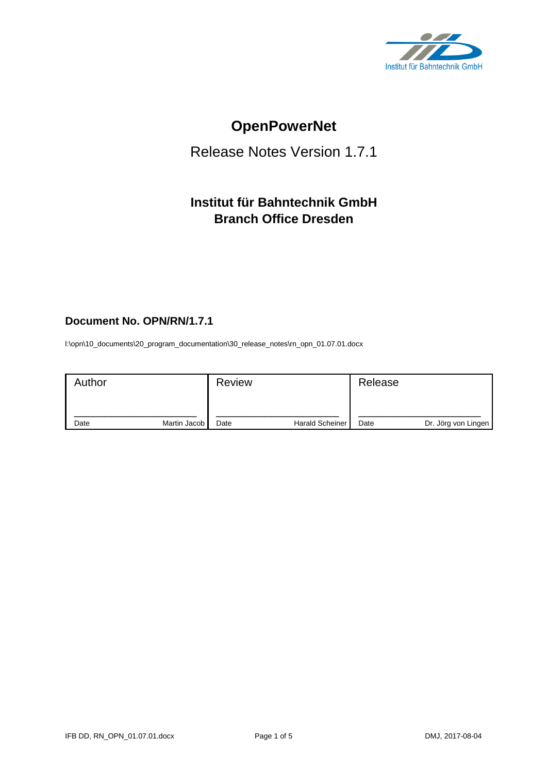

# **OpenPowerNet**

## Release Notes Version 1.7.1

## **Institut für Bahntechnik GmbH Branch Office Dresden**

## **Document No. OPN/RN/1.7.1**

l:\opn\10\_documents\20\_program\_documentation\30\_release\_notes\rn\_opn\_01.07.01.docx

| Author |              | <b>Review</b> |                        | Release |                     |
|--------|--------------|---------------|------------------------|---------|---------------------|
| Date   | Martin Jacob | Date          | <b>Harald Scheiner</b> | Date    | Dr. Jörg von Lingen |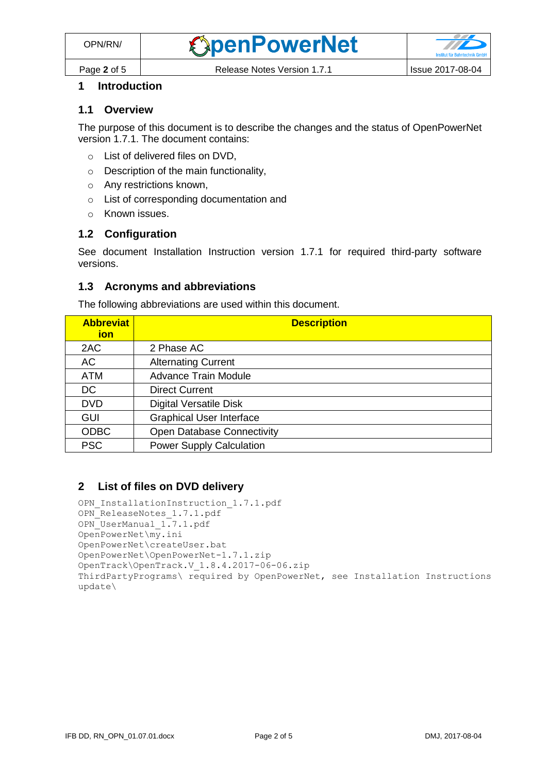

## **1 Introduction**

#### **1.1 Overview**

The purpose of this document is to describe the changes and the status of OpenPowerNet version 1.7.1. The document contains:

- o List of delivered files on DVD,
- o Description of the main functionality,
- o Any restrictions known,
- o List of corresponding documentation and
- o Known issues.

#### **1.2 Configuration**

See document Installation Instruction version 1.7.1 for required third-party software versions.

#### **1.3 Acronyms and abbreviations**

The following abbreviations are used within this document.

| <b>Abbreviat</b><br><u>ion</u> | <b>Description</b>              |
|--------------------------------|---------------------------------|
| 2AC                            | 2 Phase AC                      |
| AC                             | <b>Alternating Current</b>      |
| <b>ATM</b>                     | <b>Advance Train Module</b>     |
| <b>DC</b>                      | <b>Direct Current</b>           |
| <b>DVD</b>                     | <b>Digital Versatile Disk</b>   |
| <b>GUI</b>                     | <b>Graphical User Interface</b> |
| <b>ODBC</b>                    | Open Database Connectivity      |
| <b>PSC</b>                     | <b>Power Supply Calculation</b> |

### **2 List of files on DVD delivery**

```
OPN InstallationInstruction 1.7.1.pdf
OPN ReleaseNotes 1.7.1.pdf
OPN_UserManual_1.7.1.pdf
OpenPowerNet\my.ini
OpenPowerNet\createUser.bat
OpenPowerNet\OpenPowerNet-1.7.1.zip
OpenTrack\OpenTrack.V_1.8.4.2017-06-06.zip
ThirdPartyPrograms\ required by OpenPowerNet, see Installation Instructions
update\
```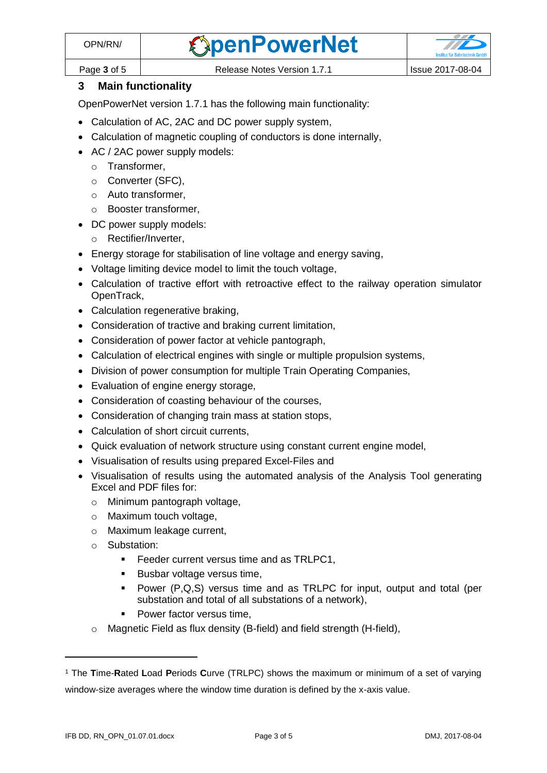

Page **3** of 5 Release Notes Version 1.7.1 Issue 2017-08-04

### **3 Main functionality**

OpenPowerNet version 1.7.1 has the following main functionality:

- Calculation of AC, 2AC and DC power supply system,
- Calculation of magnetic coupling of conductors is done internally,
- AC / 2AC power supply models:
	- o Transformer,
	- o Converter (SFC),
	- o Auto transformer,
	- o Booster transformer,
- DC power supply models:
	- o Rectifier/Inverter,
- Energy storage for stabilisation of line voltage and energy saving,
- Voltage limiting device model to limit the touch voltage,
- Calculation of tractive effort with retroactive effect to the railway operation simulator OpenTrack,
- Calculation regenerative braking,
- Consideration of tractive and braking current limitation,
- Consideration of power factor at vehicle pantograph,
- Calculation of electrical engines with single or multiple propulsion systems,
- Division of power consumption for multiple Train Operating Companies,
- Evaluation of engine energy storage,
- Consideration of coasting behaviour of the courses,
- Consideration of changing train mass at station stops,
- Calculation of short circuit currents,
- Quick evaluation of network structure using constant current engine model,
- Visualisation of results using prepared Excel-Files and
- <span id="page-2-0"></span>• Visualisation of results using the automated analysis of the Analysis Tool generating Excel and PDF files for:
	- o Minimum pantograph voltage,
	- o Maximum touch voltage,
	- o Maximum leakage current,
	- o Substation:
		- Feeder current versus time and as TRLPC1,
		- Busbar voltage versus time,
		- Power (P,Q,S) versus time and as TRLPC for input, output and total (per substation and total of all substations of a network),
		- Power factor versus time,
	- o Magnetic Field as flux density (B-field) and field strength (H-field),

<sup>1</sup> The **T**ime-**R**ated **L**oad **P**eriods **C**urve (TRLPC) shows the maximum or minimum of a set of varying window-size averages where the window time duration is defined by the x-axis value.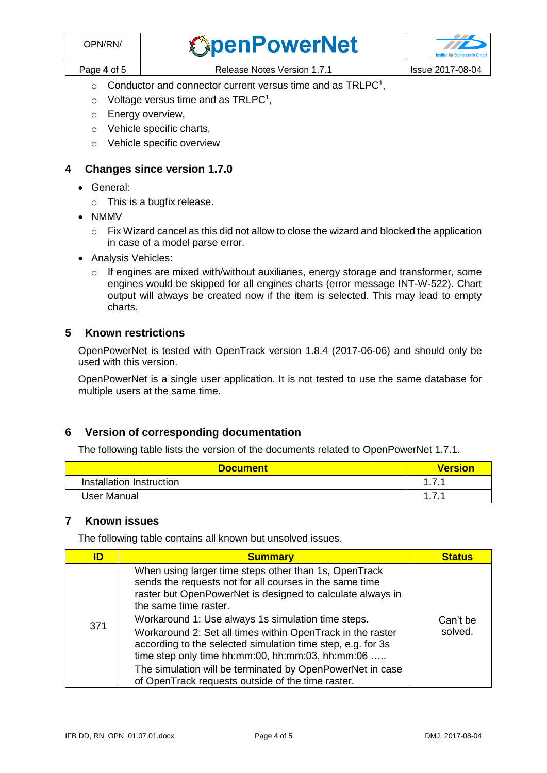| OPN/RN/     | <b><i><u>SpenPowerNet</u></i></b> | <b>Institut für Bahntechnik GmbH</b> |
|-------------|-----------------------------------|--------------------------------------|
| Page 4 of 5 | Release Notes Version 1.7.1       | Issue 2017-08-04                     |

- $\circ$  [C](#page-2-0)onductor and connector current versus time and as TRLPC<sup>1</sup>,
- $\circ$  Voltage versus time and as TRLPC<sup>[1](#page-2-0)</sup>,
- o Energy overview,
- o Vehicle specific charts,
- o Vehicle specific overview

#### **4 Changes since version 1.7.0**

- General:
	- o This is a bugfix release.
- NMMV
	- $\circ$  Fix Wizard cancel as this did not allow to close the wizard and blocked the application in case of a model parse error.
- Analysis Vehicles:
	- o If engines are mixed with/without auxiliaries, energy storage and transformer, some engines would be skipped for all engines charts (error message INT-W-522). Chart output will always be created now if the item is selected. This may lead to empty charts.

#### **5 Known restrictions**

OpenPowerNet is tested with OpenTrack version 1.8.4 (2017-06-06) and should only be used with this version.

OpenPowerNet is a single user application. It is not tested to use the same database for multiple users at the same time.

#### **6 Version of corresponding documentation**

The following table lists the version of the documents related to OpenPowerNet 1.7.1.

| <b>Document</b>          | <u>Version</u> |
|--------------------------|----------------|
| Installation Instruction | 474            |
| User Manual              |                |

#### **7 Known issues**

The following table contains all known but unsolved issues.

| When using larger time steps other than 1s, OpenTrack<br>sends the requests not for all courses in the same time<br>raster but OpenPowerNet is designed to calculate always in<br>the same time raster.                                                                                                                                                                             | ID | <b>Summary</b> | <b>Status</b> |
|-------------------------------------------------------------------------------------------------------------------------------------------------------------------------------------------------------------------------------------------------------------------------------------------------------------------------------------------------------------------------------------|----|----------------|---------------|
| Workaround 1: Use always 1s simulation time steps.<br>Can't be<br>371<br>solved.<br>Workaround 2: Set all times within OpenTrack in the raster<br>according to the selected simulation time step, e.g. for 3s<br>time step only time hh:mm:00, hh:mm:03, hh:mm:06<br>The simulation will be terminated by OpenPowerNet in case<br>of OpenTrack requests outside of the time raster. |    |                |               |